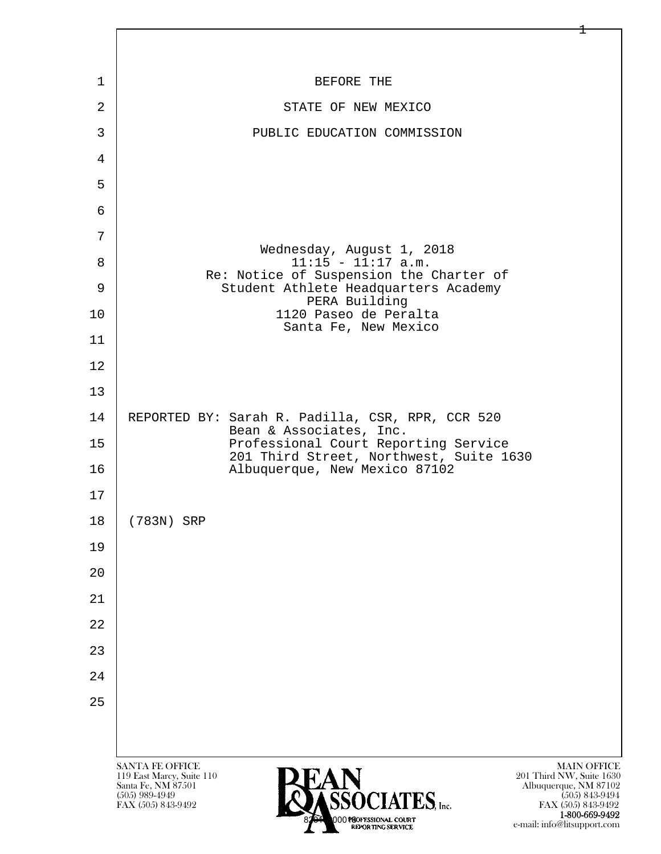

FAX (505) 843-9492<br>**1-800-669-9492** 1-800-669-9492<br>8201 000130 FSSIONAL COURT e-mail: info@litsupport.com

 $\pm$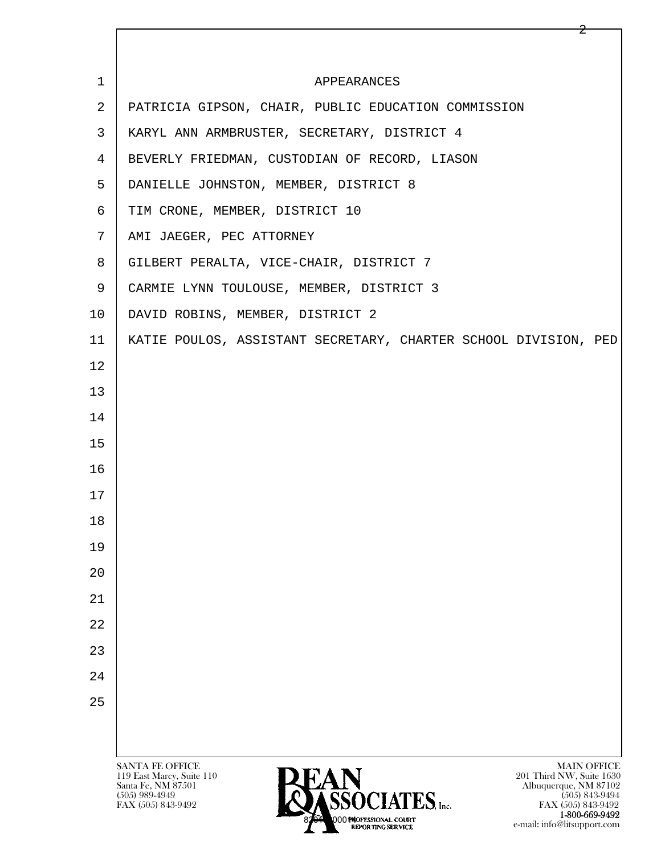| $\mathbf 1$    | APPEARANCES                                                                                                                             |
|----------------|-----------------------------------------------------------------------------------------------------------------------------------------|
| 2              | PATRICIA GIPSON, CHAIR, PUBLIC EDUCATION COMMISSION                                                                                     |
| 3              | KARYL ANN ARMBRUSTER, SECRETARY, DISTRICT 4                                                                                             |
| $\overline{4}$ | BEVERLY FRIEDMAN, CUSTODIAN OF RECORD, LIASON                                                                                           |
| 5              | DANIELLE JOHNSTON, MEMBER, DISTRICT 8                                                                                                   |
| 6              | TIM CRONE, MEMBER, DISTRICT 10                                                                                                          |
| 7              | AMI JAEGER, PEC ATTORNEY                                                                                                                |
| 8              | GILBERT PERALTA, VICE-CHAIR, DISTRICT 7                                                                                                 |
| 9              | CARMIE LYNN TOULOUSE, MEMBER, DISTRICT 3                                                                                                |
| 10             | DAVID ROBINS, MEMBER, DISTRICT 2                                                                                                        |
| 11             | KATIE POULOS, ASSISTANT SECRETARY, CHARTER SCHOOL DIVISION, PED                                                                         |
| 12             |                                                                                                                                         |
| 13             |                                                                                                                                         |
| 14             |                                                                                                                                         |
| 15             |                                                                                                                                         |
| 16             |                                                                                                                                         |
| 17             |                                                                                                                                         |
| 18             |                                                                                                                                         |
| 19             |                                                                                                                                         |
| 20             |                                                                                                                                         |
| 21             |                                                                                                                                         |
| 22             |                                                                                                                                         |
| 23             |                                                                                                                                         |
| 24             |                                                                                                                                         |
| 25             |                                                                                                                                         |
|                |                                                                                                                                         |
|                | <b>SANTA FE OFFICE</b><br><b>MAIN OFFICE</b>                                                                                            |
|                | 119 East Marcy, Suite 110<br>201 Third NW, Suite 1630<br>Santa Fe, NM 87501<br><b>LAIN</b><br>ASSOCIATES, Inc.<br>Albuquerque, NM 87102 |
|                | $(505)$ 989-4949<br>$(505)$ 843-9494<br>FAX (505) 843-9492<br>FAX (505) 843-9492                                                        |

2

 $1-800-669-9492$ e-mail: info@litsupport.com

00 PAOFESSIONAL COURT<br>REPORTING SERVICE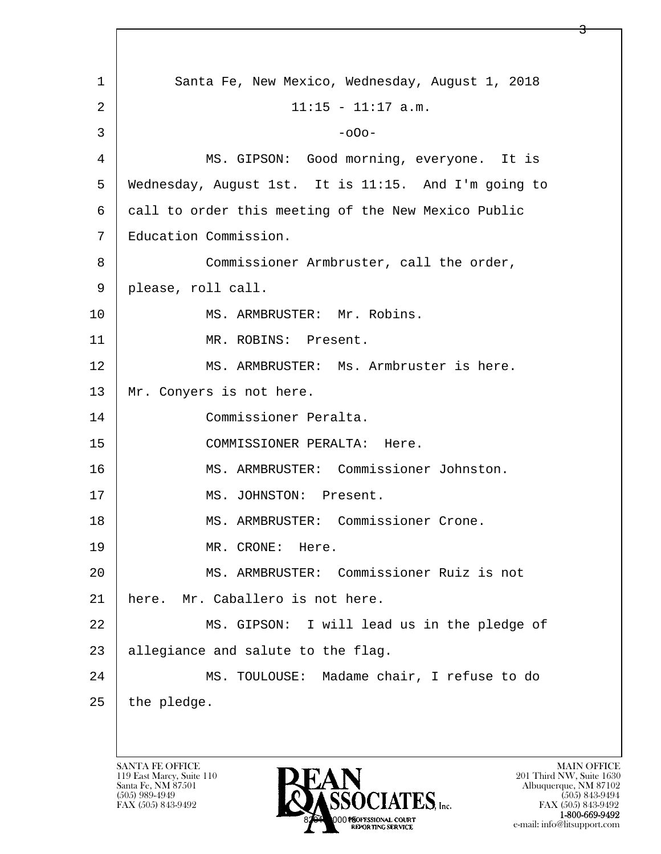l  $\overline{\phantom{a}}$ 1 Santa Fe, New Mexico, Wednesday, August 1, 2018  $2 | 11:15 - 11:17 \text{ a.m.}$  $3 \mid$  -o0o-4 MS. GIPSON: Good morning, everyone. It is 5 Wednesday, August 1st. It is 11:15. And I'm going to 6 call to order this meeting of the New Mexico Public 7 Education Commission. 8 Commissioner Armbruster, call the order, 9 please, roll call. 10 | MS. ARMBRUSTER: Mr. Robins. 11 | MR. ROBINS: Present. 12 MS. ARMBRUSTER: Ms. Armbruster is here. 13 Mr. Conyers is not here. 14 Commissioner Peralta. 15 COMMISSIONER PERALTA: Here. 16 MS. ARMBRUSTER: Commissioner Johnston. 17 | MS. JOHNSTON: Present. 18 MS. ARMBRUSTER: Commissioner Crone. 19 MR. CRONE: Here. 20 MS. ARMBRUSTER: Commissioner Ruiz is not 21 here. Mr. Caballero is not here. 22 | MS. GIPSON: I will lead us in the pledge of 23 allegiance and salute to the flag. 24 MS. TOULOUSE: Madame chair, I refuse to do  $25$  | the pledge.

<u>3</u>

119 East Marcy, Suite 110<br>Santa Fe, NM 87501

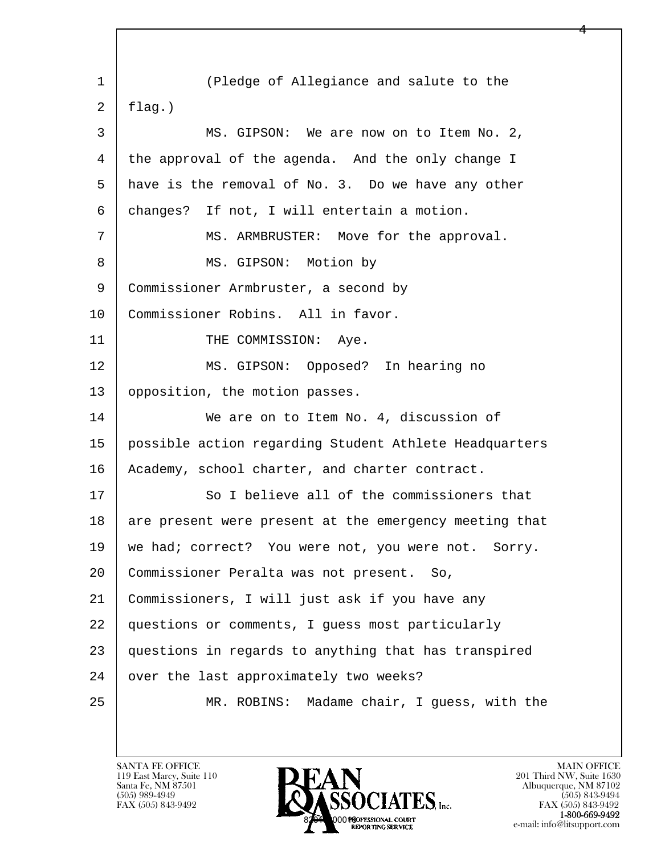l  $\overline{\phantom{a}}$ 1 (Pledge of Allegiance and salute to the  $2$  [ flag.) 3 MS. GIPSON: We are now on to Item No. 2, 4 the approval of the agenda. And the only change I 5 have is the removal of No. 3. Do we have any other 6 changes? If not, I will entertain a motion. 7 | MS. ARMBRUSTER: Move for the approval. 8 | MS. GIPSON: Motion by 9 Commissioner Armbruster, a second by 10 | Commissioner Robins. All in favor. 11 | THE COMMISSION: Aye. 12 | MS. GIPSON: Opposed? In hearing no 13 | opposition, the motion passes. 14 We are on to Item No. 4, discussion of 15 possible action regarding Student Athlete Headquarters 16 | Academy, school charter, and charter contract. 17 So I believe all of the commissioners that 18 are present were present at the emergency meeting that 19 | we had; correct? You were not, you were not. Sorry. 20 Commissioner Peralta was not present. So, 21 Commissioners, I will just ask if you have any 22 questions or comments, I guess most particularly 23 questions in regards to anything that has transpired 24 | over the last approximately two weeks? 25 MR. ROBINS: Madame chair, I guess, with the

4

119 East Marcy, Suite 110<br>Santa Fe, NM 87501

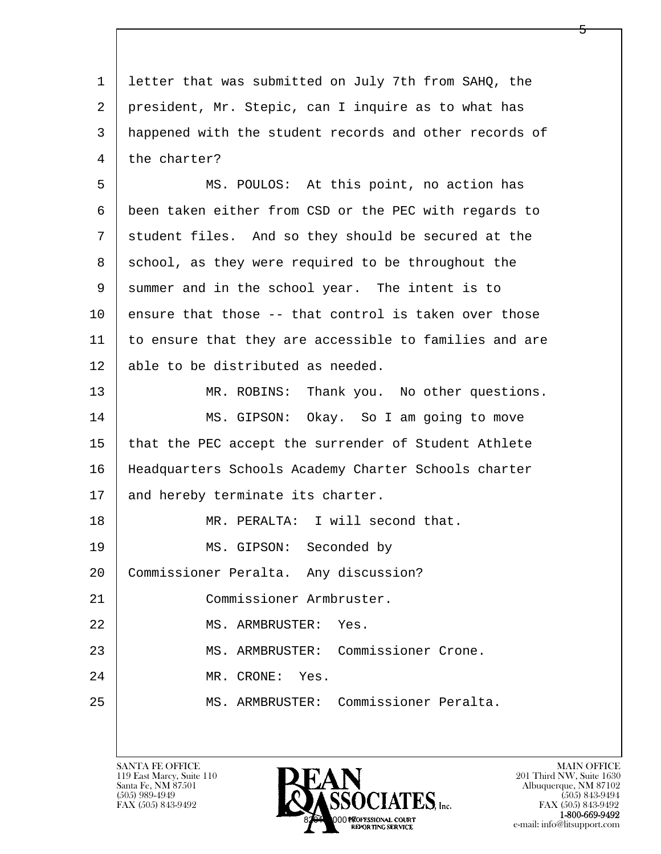l  $\overline{\phantom{a}}$ 1 letter that was submitted on July 7th from SAHQ, the 2 president, Mr. Stepic, can I inquire as to what has 3 happened with the student records and other records of 4 the charter? 5 MS. POULOS: At this point, no action has 6 been taken either from CSD or the PEC with regards to 7 | student files. And so they should be secured at the 8 | school, as they were required to be throughout the 9 summer and in the school year. The intent is to  $10$  ensure that those  $-$ - that control is taken over those 11 to ensure that they are accessible to families and are 12 able to be distributed as needed. 13 MR. ROBINS: Thank you. No other questions. 14 MS. GIPSON: Okay. So I am going to move 15 that the PEC accept the surrender of Student Athlete 16 Headquarters Schools Academy Charter Schools charter 17 | and hereby terminate its charter. 18 MR. PERALTA: I will second that. 19 MS. GIPSON: Seconded by 20 Commissioner Peralta. Any discussion? 21 | Commissioner Armbruster. 22 MS. ARMBRUSTER: Yes. 23 MS. ARMBRUSTER: Commissioner Crone. 24 MR. CRONE: Yes. 25 MS. ARMBRUSTER: Commissioner Peralta.

119 East Marcy, Suite 110<br>Santa Fe, NM 87501



FAX (505) 843-9492<br>**1-800-669-9492** e-mail: info@litsupport.com

5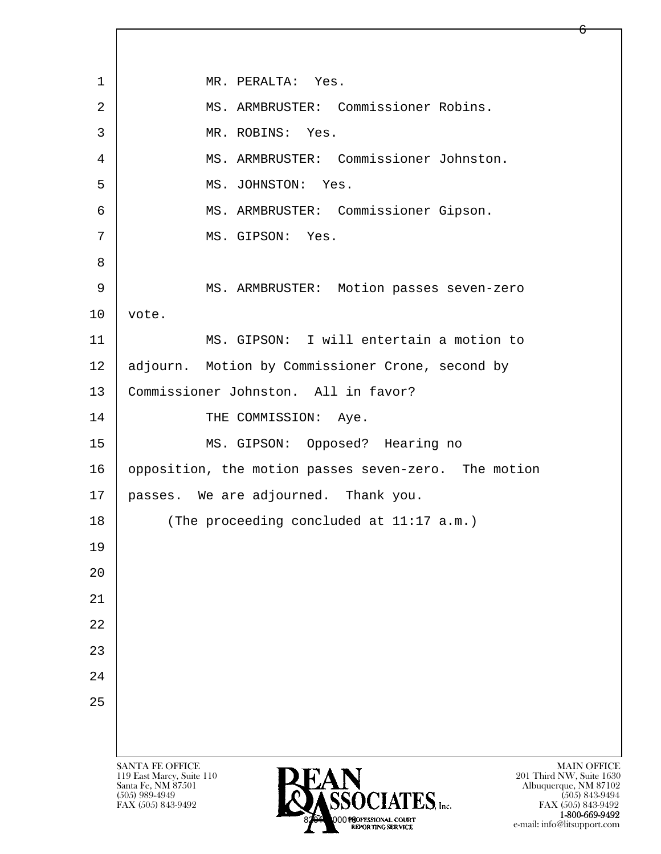l  $\overline{\phantom{a}}$ SANTA FE OFFICE MAIN OFFICE MAIN OFFICE MAIN OFFICE MAIN OFFICE 119 East Marcy, Suite 110<br>Santa Fe, NM 87501 Santa Fe, NM 87501 Albuquerque, NM 87102  $\overline{\text{S5OCIATES}}_{\text{Inc}}$  [505) 989-4949 [505] 843-9492 [505] 843-9492 [505] 843-9492 1 | MR. PERALTA: Yes. 2 | MS. ARMBRUSTER: Commissioner Robins. 3 MR. ROBINS: Yes. 4 MS. ARMBRUSTER: Commissioner Johnston. 5 MS. JOHNSTON: Yes. 6 MS. ARMBRUSTER: Commissioner Gipson. 7 | MS. GIPSON: Yes. 8 9 MS. ARMBRUSTER: Motion passes seven-zero  $10$  vote. 11 MS. GIPSON: I will entertain a motion to 12 adjourn. Motion by Commissioner Crone, second by 13 | Commissioner Johnston. All in favor? 14 THE COMMISSION: Aye. 15 MS. GIPSON: Opposed? Hearing no 16 opposition, the motion passes seven-zero. The motion 17 passes. We are adjourned. Thank you. 18 (The proceeding concluded at 11:17 a.m.) 19 20 21 22 23 24 25

FAX (505) 843-9492<br>**1-800-669-9492** 1-800-669-9492<br>8201 000180FESSIONAL COURT e-mail: info@litsupport.com

6